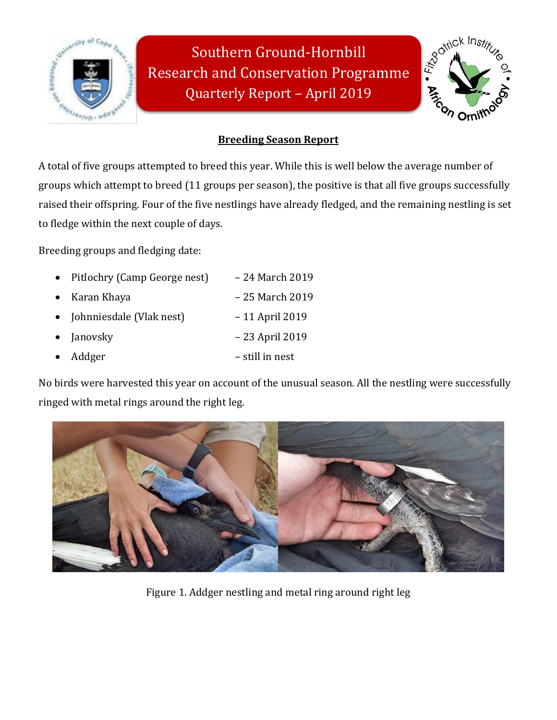

Southern Ground-Hornbill Research and Conservation Programme Quarterly Report – April 2019



# **Breeding Season Report**

A total of five groups attempted to breed this year. While this is well below the average number of groups which attempt to breed (11 groups per season), the positive is that all five groups successfully raised their offspring. Four of the five nestlings have already fledged, and the remaining nestling is set to fledge within the next couple of days.

Breeding groups and fledging date:

|           | • Pitlochry (Camp George nest) | - 24 March 2019 |
|-----------|--------------------------------|-----------------|
|           | • Karan Khaya                  | - 25 March 2019 |
|           | • Johnniesdale (Vlak nest)     | - 11 April 2019 |
|           | $\bullet$ Janovsky             | - 23 April 2019 |
| $\bullet$ | Addger                         | – still in nest |

No birds were harvested this year on account of the unusual season. All the nestling were successfully ringed with metal rings around the right leg.



Figure 1. Addger nestling and metal ring around right leg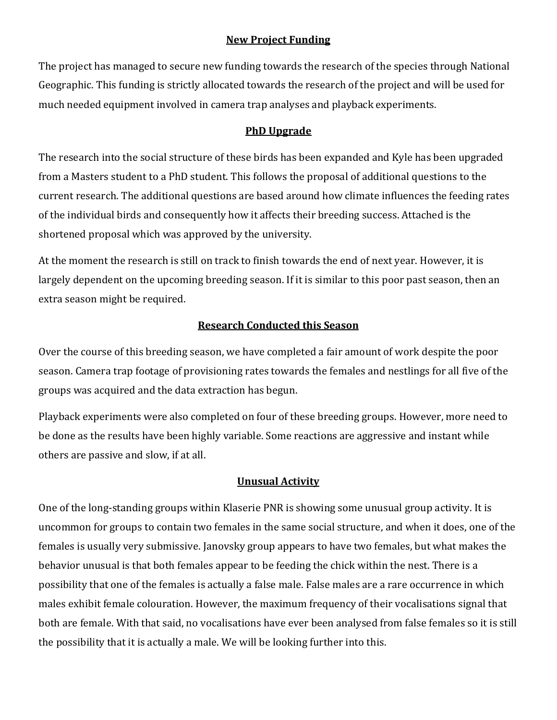#### **New Project Funding**

The project has managed to secure new funding towards the research of the species through National Geographic. This funding is strictly allocated towards the research of the project and will be used for much needed equipment involved in camera trap analyses and playback experiments.

#### **PhD Upgrade**

The research into the social structure of these birds has been expanded and Kyle has been upgraded from a Masters student to a PhD student. This follows the proposal of additional questions to the current research. The additional questions are based around how climate influences the feeding rates of the individual birds and consequently how it affects their breeding success. Attached is the shortened proposal which was approved by the university.

At the moment the research is still on track to finish towards the end of next year. However, it is largely dependent on the upcoming breeding season. If it is similar to this poor past season, then an extra season might be required.

### **Research Conducted this Season**

Over the course of this breeding season, we have completed a fair amount of work despite the poor season. Camera trap footage of provisioning rates towards the females and nestlings for all five of the groups was acquired and the data extraction has begun.

Playback experiments were also completed on four of these breeding groups. However, more need to be done as the results have been highly variable. Some reactions are aggressive and instant while others are passive and slow, if at all.

#### **Unusual Activity**

One of the long-standing groups within Klaserie PNR is showing some unusual group activity. It is uncommon for groups to contain two females in the same social structure, and when it does, one of the females is usually very submissive. Janovsky group appears to have two females, but what makes the behavior unusual is that both females appear to be feeding the chick within the nest. There is a possibility that one of the females is actually a false male. False males are a rare occurrence in which males exhibit female colouration. However, the maximum frequency of their vocalisations signal that both are female. With that said, no vocalisations have ever been analysed from false females so it is still the possibility that it is actually a male. We will be looking further into this.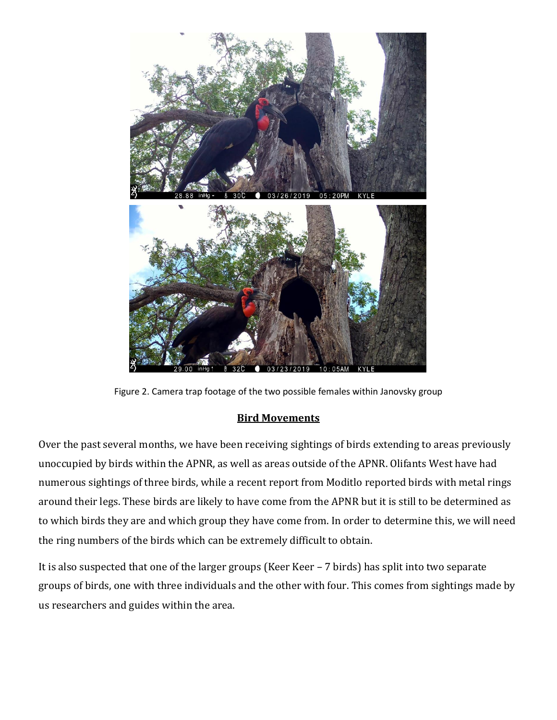

Figure 2. Camera trap footage of the two possible females within Janovsky group

### **Bird Movements**

Over the past several months, we have been receiving sightings of birds extending to areas previously unoccupied by birds within the APNR, as well as areas outside of the APNR. Olifants West have had numerous sightings of three birds, while a recent report from Moditlo reported birds with metal rings around their legs. These birds are likely to have come from the APNR but it is still to be determined as to which birds they are and which group they have come from. In order to determine this, we will need the ring numbers of the birds which can be extremely difficult to obtain.

It is also suspected that one of the larger groups (Keer Keer – 7 birds) has split into two separate groups of birds, one with three individuals and the other with four. This comes from sightings made by us researchers and guides within the area.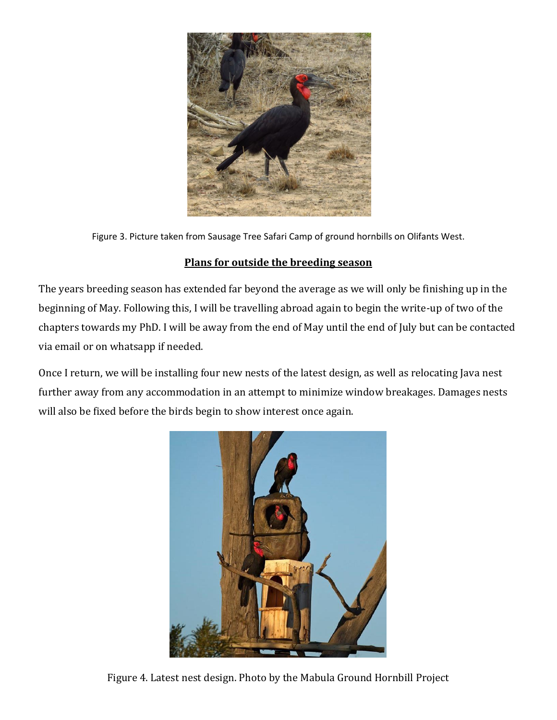

Figure 3. Picture taken from Sausage Tree Safari Camp of ground hornbills on Olifants West.

## **Plans for outside the breeding season**

The years breeding season has extended far beyond the average as we will only be finishing up in the beginning of May. Following this, I will be travelling abroad again to begin the write-up of two of the chapters towards my PhD. I will be away from the end of May until the end of July but can be contacted via email or on whatsapp if needed.

Once I return, we will be installing four new nests of the latest design, as well as relocating Java nest further away from any accommodation in an attempt to minimize window breakages. Damages nests will also be fixed before the birds begin to show interest once again.



Figure 4. Latest nest design. Photo by the Mabula Ground Hornbill Project